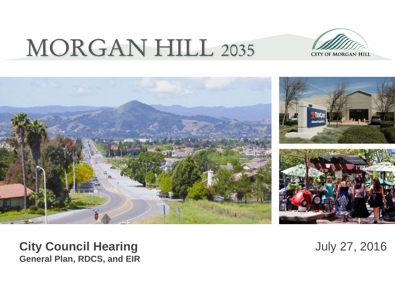# **MORGAN HILL 2035**





**City Council Hearing**  July 27, 2016 **General Plan, RDCS, and EIR**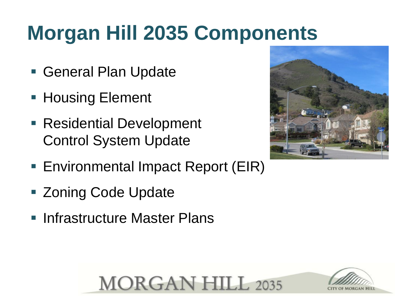# **Morgan Hill 2035 Components**

- General Plan Update
- **Housing Element**
- Residential Development Control System Update
- Environmental Impact Report (EIR)
- Zoning Code Update
- **Infrastructure Master Plans**





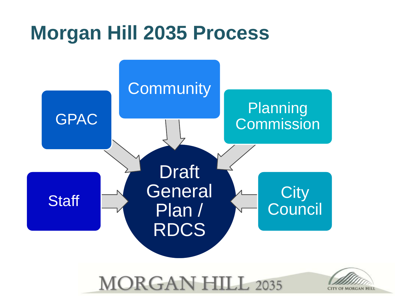### **Morgan Hill 2035 Process**



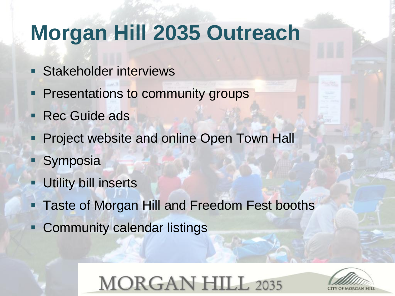## **Morgan Hill 2035 Outreach**

- **Stakeholder interviews**
- **Presentations to community groups**
- **Rec Guide ads**
- **Project website and online Open Town Hall**
- **Symposia**
- Utility bill inserts
- Taste of Morgan Hill and Freedom Fest booths
- **Community calendar listings**

### **MORGAN HILL 2035**

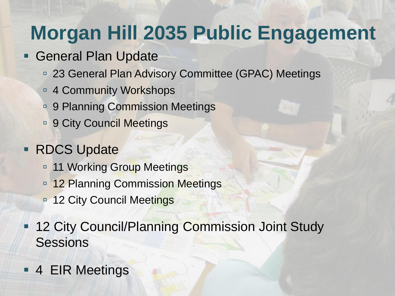## **Morgan Hill 2035 Public Engagement**

- **General Plan Update** 
	- □ 23 General Plan Advisory Committee (GPAC) Meetings
	- □ 4 Community Workshops
	- □ 9 Planning Commission Meetings
	- □ 9 City Council Meetings

#### **RDCS Update**

- <sup>9</sup> 11 Working Group Meetings
- **12 Planning Commission Meetings**
- 12 City Council Meetings
- **12 City Council/Planning Commission Joint Study Sessions**
- **4 EIR Meetings**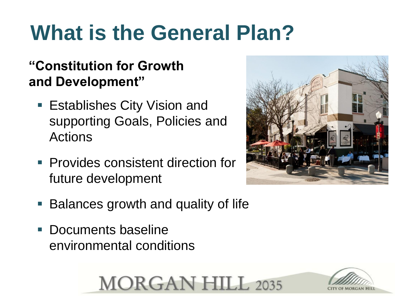# **What is the General Plan?**

#### **"Constitution for Growth and Development"**

- **Establishes City Vision and** supporting Goals, Policies and Actions
- **Provides consistent direction for** future development
- Balances growth and quality of life
- **Documents baseline** environmental conditions





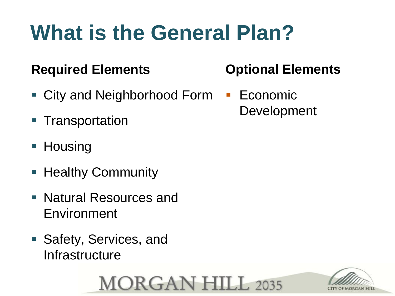# **What is the General Plan?**

#### **Required Elements**

- City and Neighborhood Form Economic
- **Transportation**
- Housing
- **Healthy Community**
- Natural Resources and Environment
- Safety, Services, and Infrastructure

### **MORGAN HILL 2035**



#### **Optional Elements**

Development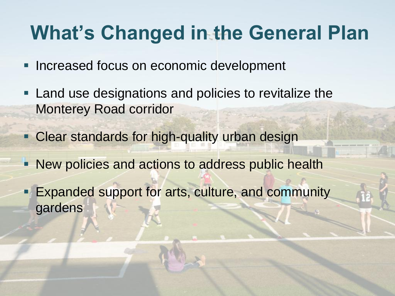### **What's Changed in the General Plan**

- **Increased focus on economic development**
- **Land use designations and policies to revitalize the** Monterey Road corridor
- **Clear standards for high-quality urban design**
- **New policies and actions to address public health**
- **Expanded support for arts, culture, and community** gardens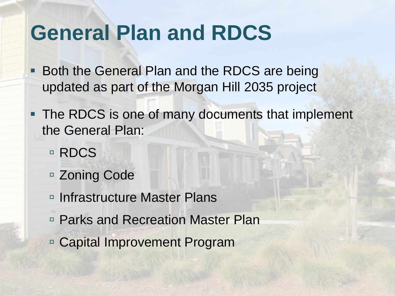### **General Plan and RDCS**

- **Both the General Plan and the RDCS are being** updated as part of the Morgan Hill 2035 project
- The RDCS is one of many documents that implement the General Plan:
	- □ RDCS
	- □ Zoning Code
	- □ Infrastructure Master Plans
	- □ Parks and Recreation Master Plan
	- Capital Improvement Program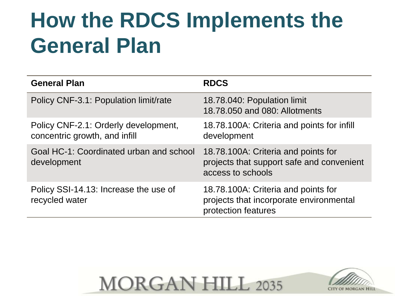# **How the RDCS Implements the General Plan**

| <b>General Plan</b>                                                   | <b>RDCS</b>                                                                                           |
|-----------------------------------------------------------------------|-------------------------------------------------------------------------------------------------------|
| Policy CNF-3.1: Population limit/rate                                 | 18.78.040: Population limit<br>18.78.050 and 080: Allotments                                          |
| Policy CNF-2.1: Orderly development,<br>concentric growth, and infill | 18.78.100A: Criteria and points for infill<br>development                                             |
| Goal HC-1: Coordinated urban and school<br>development                | 18.78.100A: Criteria and points for<br>projects that support safe and convenient<br>access to schools |
| Policy SSI-14.13: Increase the use of<br>recycled water               | 18.78.100A: Criteria and points for<br>projects that incorporate environmental<br>protection features |



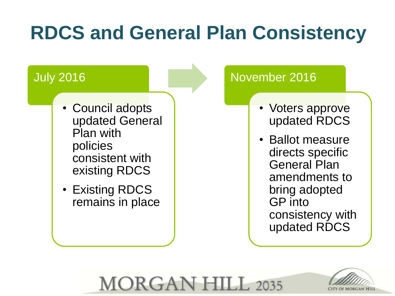## **RDCS and General Plan Consistency**

**MORGAN HILL 2035** 

#### July 2016

- Council adopts updated General Plan with policies consistent with existing RDCS
- Existing RDCS remains in place

#### November 2016

- Voters approve updated RDCS
- Ballot measure directs specific General Plan amendments to bring adopted GP into consistency with updated RDCS

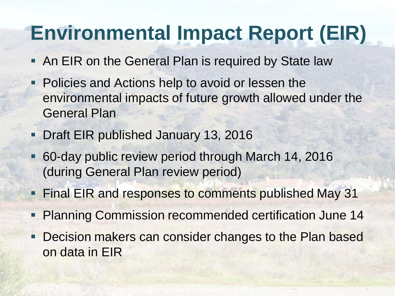## **Environmental Impact Report (EIR)**

- **An EIR on the General Plan is required by State law**
- Policies and Actions help to avoid or lessen the environmental impacts of future growth allowed under the General Plan
- **Draft EIR published January 13, 2016**
- 60-day public review period through March 14, 2016 (during General Plan review period)
- **Final EIR and responses to comments published May 31**
- Planning Commission recommended certification June 14
- **Decision makers can consider changes to the Plan based** on data in EIR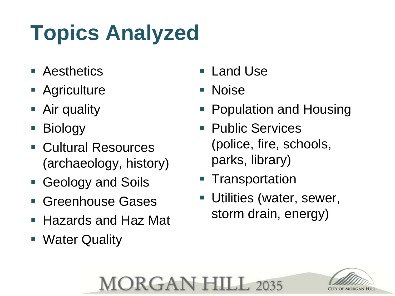# **Topics Analyzed**

- **E** Aesthetics
- **Agriculture**
- **Air quality**
- Biology
- Cultural Resources (archaeology, history)
- Geology and Soils
- **Greenhouse Gases**
- Hazards and Haz Mat
- **Water Quality**
- Land Use
- Noise

**MORGAN HILL 2035** 

- Population and Housing
- Public Services (police, fire, schools, parks, library)
- **Transportation**
- Utilities (water, sewer, storm drain, energy)

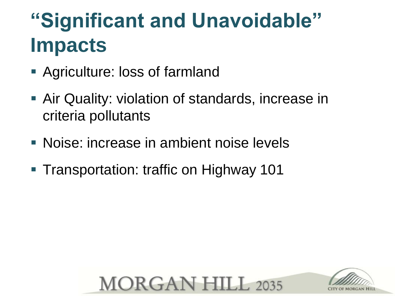## **"Significant and Unavoidable" Impacts**

- Agriculture: loss of farmland
- Air Quality: violation of standards, increase in criteria pollutants
- Noise: increase in ambient noise levels
- **Transportation: traffic on Highway 101**



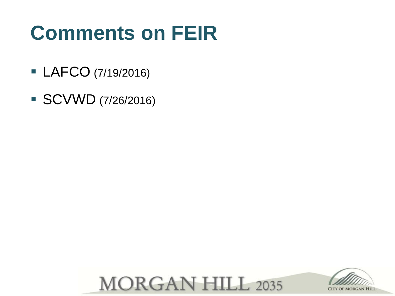## **Comments on FEIR**

- **LAFCO** (7/19/2016)
- SCVWD (7/26/2016)



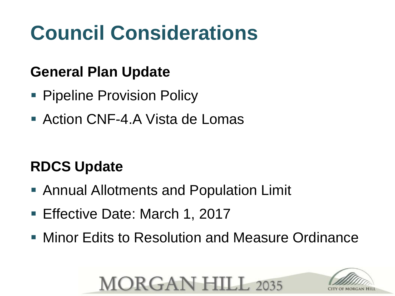# **Council Considerations**

#### **General Plan Update**

- **Pipeline Provision Policy**
- Action CNF-4.A Vista de Lomas

#### **RDCS Update**

- Annual Allotments and Population Limit
- **Effective Date: March 1, 2017**
- **Minor Edits to Resolution and Measure Ordinance**

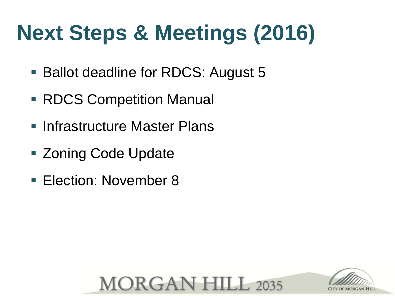# **Next Steps & Meetings (2016)**

- Ballot deadline for RDCS: August 5
- RDCS Competition Manual
- Infrastructure Master Plans
- **Example 2 Code Update**
- Election: November 8